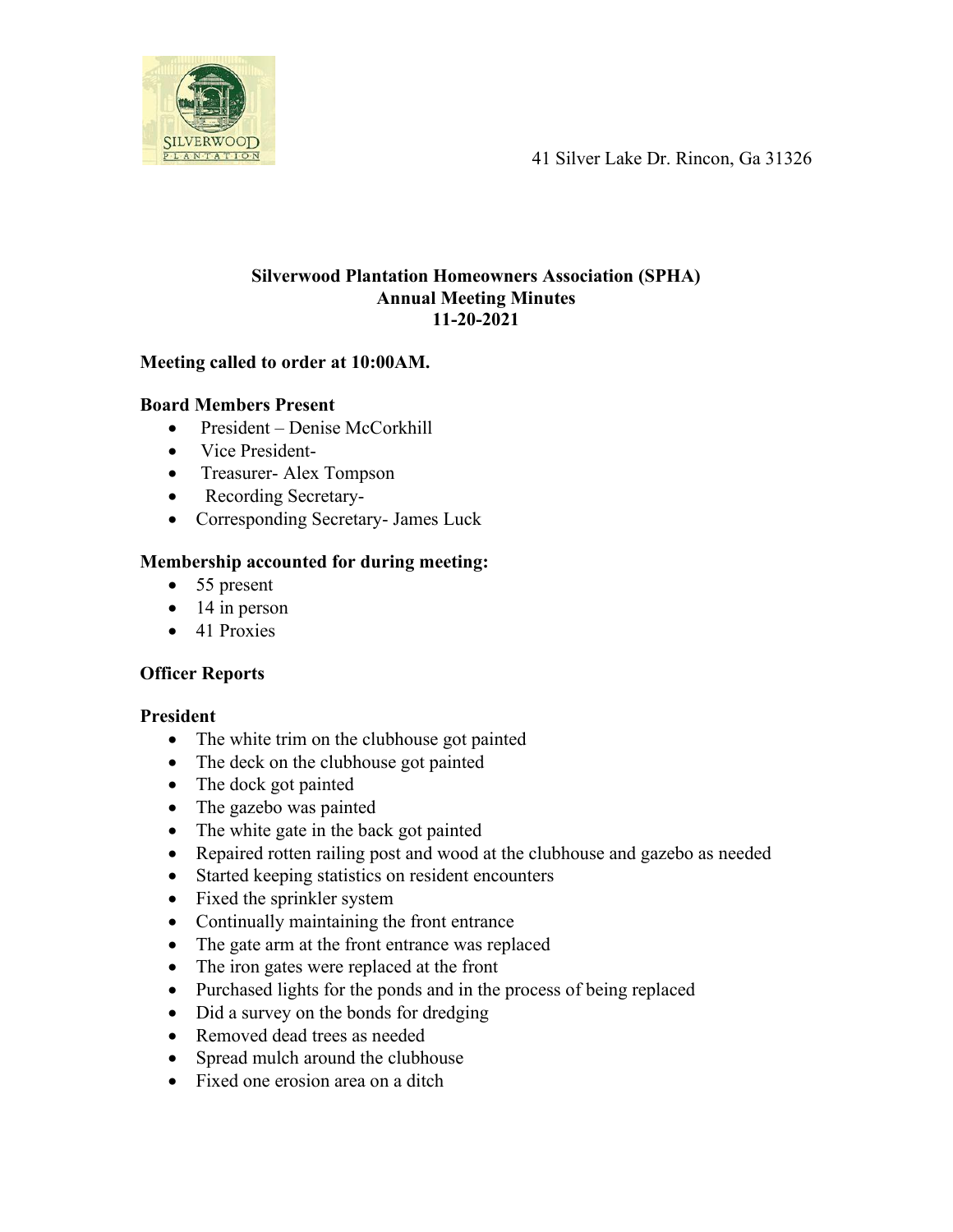41 Silver Lake Dr. Rincon, Ga 31326



## **Silverwood Plantation Homeowners Association (SPHA) Annual Meeting Minutes 11-20-2021**

## **Meeting called to order at 10:00AM.**

## **Board Members Present**

- President Denise McCorkhill
- Vice President-
- Treasurer-Alex Tompson
- Recording Secretary-
- Corresponding Secretary- James Luck

# **Membership accounted for during meeting:**

- 55 present
- $\bullet$  14 in person
- 41 Proxies

# **Officer Reports**

## **President**

- The white trim on the clubhouse got painted
- The deck on the clubhouse got painted
- The dock got painted
- The gazebo was painted
- The white gate in the back got painted
- Repaired rotten railing post and wood at the clubhouse and gazebo as needed
- Started keeping statistics on resident encounters
- Fixed the sprinkler system
- Continually maintaining the front entrance
- The gate arm at the front entrance was replaced
- The iron gates were replaced at the front
- Purchased lights for the ponds and in the process of being replaced
- Did a survey on the bonds for dredging
- Removed dead trees as needed
- Spread mulch around the clubhouse
- Fixed one erosion area on a ditch